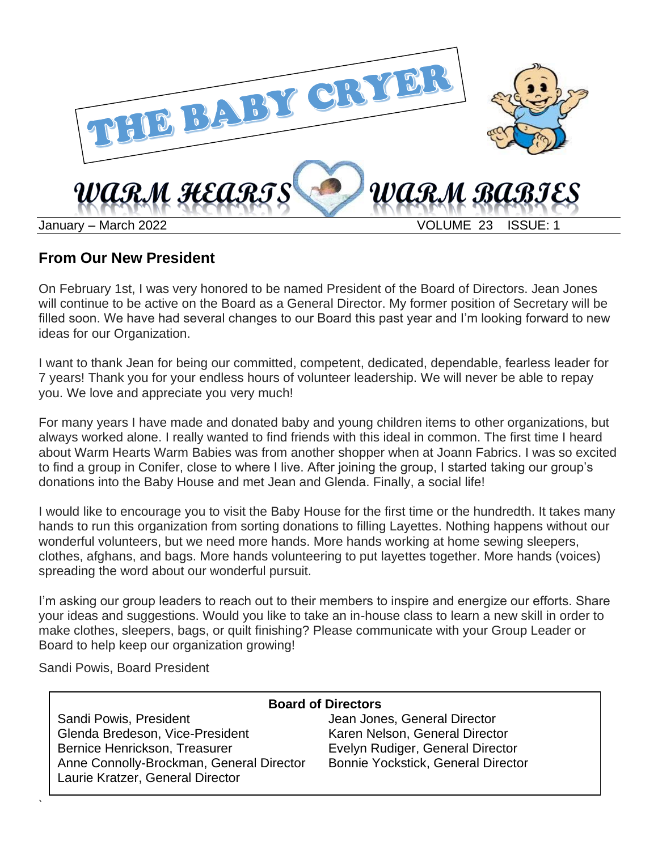

# **From Our New President**

On February 1st, I was very honored to be named President of the Board of Directors. Jean Jones will continue to be active on the Board as a General Director. My former position of Secretary will be filled soon. We have had several changes to our Board this past year and I'm looking forward to new ideas for our Organization.

I want to thank Jean for being our committed, competent, dedicated, dependable, fearless leader for 7 years! Thank you for your endless hours of volunteer leadership. We will never be able to repay you. We love and appreciate you very much!

For many years I have made and donated baby and young children items to other organizations, but always worked alone. I really wanted to find friends with this ideal in common. The first time I heard about Warm Hearts Warm Babies was from another shopper when at Joann Fabrics. I was so excited to find a group in Conifer, close to where I live. After joining the group, I started taking our group's donations into the Baby House and met Jean and Glenda. Finally, a social life!

I would like to encourage you to visit the Baby House for the first time or the hundredth. It takes many hands to run this organization from sorting donations to filling Layettes. Nothing happens without our wonderful volunteers, but we need more hands. More hands working at home sewing sleepers, clothes, afghans, and bags. More hands volunteering to put layettes together. More hands (voices) spreading the word about our wonderful pursuit.

I'm asking our group leaders to reach out to their members to inspire and energize our efforts. Share your ideas and suggestions. Would you like to take an in-house class to learn a new skill in order to make clothes, sleepers, bags, or quilt finishing? Please communicate with your Group Leader or Board to help keep our organization growing!

Sandi Powis, Board President

`

| <b>Board of Directors</b>                                                    |                                    |
|------------------------------------------------------------------------------|------------------------------------|
| Sandi Powis, President                                                       | Jean Jones, General Director       |
| Glenda Bredeson, Vice-President                                              | Karen Nelson, General Director     |
| Bernice Henrickson, Treasurer                                                | Evelyn Rudiger, General Director   |
| Anne Connolly-Brockman, General Director<br>Laurie Kratzer, General Director | Bonnie Yockstick, General Director |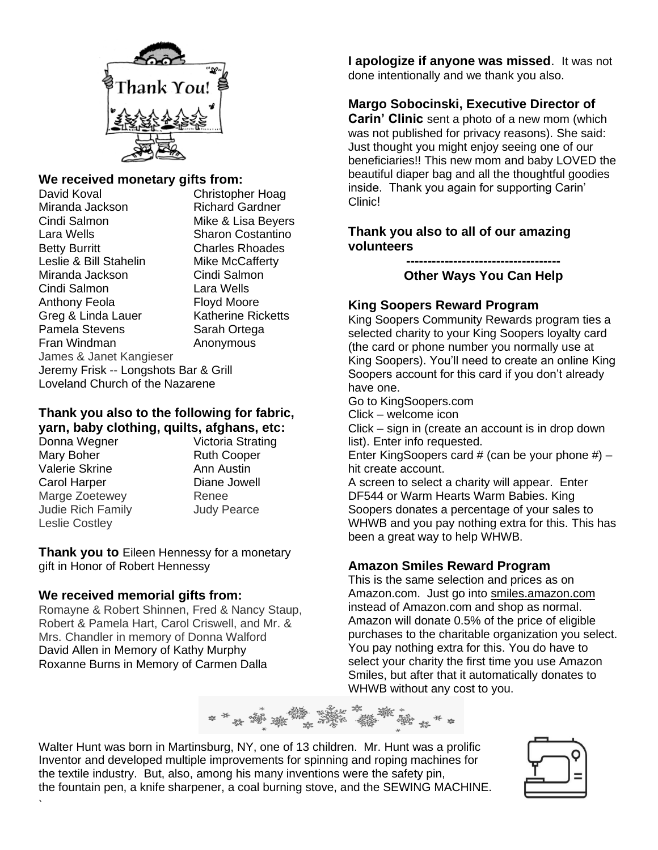

#### **We received monetary gifts from:**

David Koval **Christopher Hoag** Miranda Jackson Richard Gardner Cindi Salmon Mike & Lisa Beyers Lara Wells **Sharon Costantino** Betty Burritt **Charles Rhoades** Leslie & Bill Stahelin Mike McCafferty Miranda Jackson Cindi Salmon Cindi Salmon Lara Wells Anthony Feola Floyd Moore Greg & Linda Lauer Katherine Ricketts Pamela Stevens Sarah Ortega Fran Windman **Anonymous** James & Janet Kangieser Jeremy Frisk -- Longshots Bar & Grill Loveland Church of the Nazarene

#### **Thank you also to the following for fabric, yarn, baby clothing, quilts, afghans, etc:**

Donna Wegner **Victoria Strating** Mary Boher **Ruth Cooper** Valerie Skrine **Ann Austin** Carol Harper Diane Jowell Marge Zoetewey **Renee** Judie Rich Family Judy Pearce Leslie Costley

`

**Thank you to** Eileen Hennessy for a monetary gift in Honor of Robert Hennessy

## **We received memorial gifts from:**

Romayne & Robert Shinnen, Fred & Nancy Staup, Robert & Pamela Hart, Carol Criswell, and Mr. & Mrs. Chandler in memory of Donna Walford David Allen in Memory of Kathy Murphy Roxanne Burns in Memory of Carmen Dalla

**I apologize if anyone was missed**. It was not done intentionally and we thank you also.

# **Margo Sobocinski, Executive Director of**

**Carin' Clinic** sent a photo of a new mom (which was not published for privacy reasons). She said: Just thought you might enjoy seeing one of our beneficiaries!! This new mom and baby LOVED the beautiful diaper bag and all the thoughtful goodies inside. Thank you again for supporting Carin' Clinic!

#### **Thank you also to all of our amazing volunteers**

**------------------------------------**

**Other Ways You Can Help**

# **King Soopers Reward Program**

King Soopers Community Rewards program ties a selected charity to your King Soopers loyalty card (the card or phone number you normally use at King Soopers). You'll need to create an online King Soopers account for this card if you don't already have one.

Go to KingSoopers.com

Click – welcome icon

Click – sign in (create an account is in drop down list). Enter info requested.

Enter KingSoopers card  $#$  (can be your phone  $#$ ) – hit create account.

A screen to select a charity will appear. Enter DF544 or Warm Hearts Warm Babies. King Soopers donates a percentage of your sales to WHWB and you pay nothing extra for this. This has been a great way to help WHWB.

### **Amazon Smiles Reward Program**

This is the same selection and prices as on Amazon.com. Just go into smiles.amazon.com instead of Amazon.com and shop as normal. Amazon will donate 0.5% of the price of eligible purchases to the charitable organization you select. You pay nothing extra for this. You do have to select your charity the first time you use Amazon Smiles, but after that it automatically donates to WHWB without any cost to you.



Walter Hunt was born in Martinsburg, NY, one of 13 children. Mr. Hunt was a prolific Inventor and developed multiple improvements for spinning and roping machines for the textile industry. But, also, among his many inventions were the safety pin, the fountain pen, a knife sharpener, a coal burning stove, and the SEWING MACHINE.

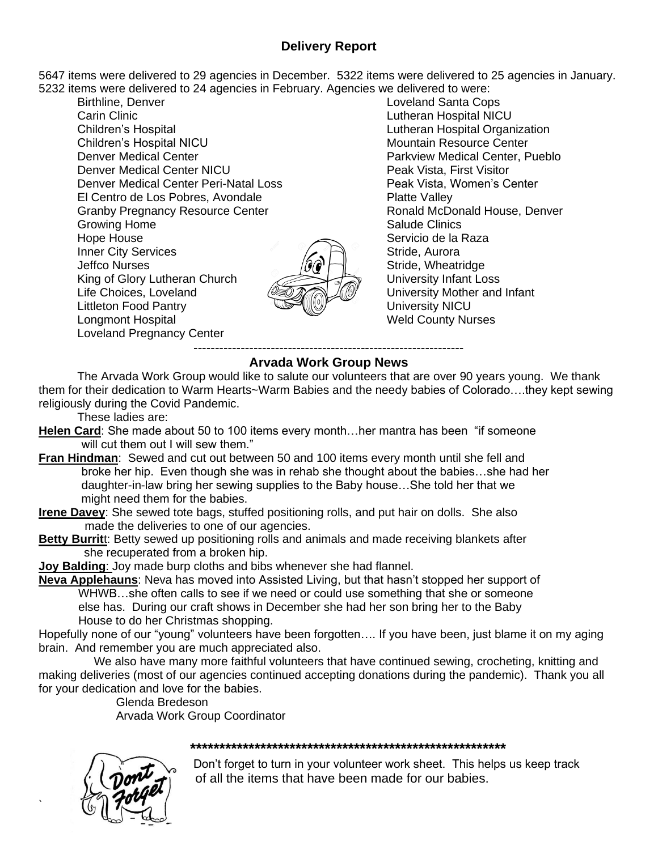### **Delivery Report**

5647 items were delivered to 29 agencies in December. 5322 items were delivered to 25 agencies in January. 5232 items were delivered to 24 agencies in February. Agencies we delivered to were:

Birthline, Denver Carin Clinic Children's Hospital Children's Hospital NICU Denver Medical Center Denver Medical Center NICU Denver Medical Center Peri-Natal Loss El Centro de Los Pobres, Avondale Granby Pregnancy Resource Center Growing Home Hope House Inner City Services Jeffco Nurses King of Glory Lutheran Church Life Choices, Loveland Littleton Food Pantry Longmont Hospital Loveland Pregnancy Center

Loveland Santa Cops Lutheran Hospital NICU Lutheran Hospital Organization Mountain Resource Center Parkview Medical Center, Pueblo Peak Vista, First Visitor Peak Vista, Women's Center Platte Valley Ronald McDonald House, Denver Salude Clinics Servicio de la Raza Stride, Aurora Stride, Wheatridge University Infant Loss University Mother and Infant University NICU Weld County Nurses

#### --------------------------------------------------------------- **Arvada Work Group News**

The Arvada Work Group would like to salute our volunteers that are over 90 years young. We thank them for their dedication to Warm Hearts~Warm Babies and the needy babies of Colorado….they kept sewing religiously during the Covid Pandemic.

These ladies are:

- **Helen Card:** She made about 50 to 100 items every month...her mantra has been "if someone" will cut them out I will sew them."
- **Fran Hindman**: Sewed and cut out between 50 and 100 items every month until she fell and broke her hip. Even though she was in rehab she thought about the babies…she had her daughter-in-law bring her sewing supplies to the Baby house…She told her that we might need them for the babies.
- **Irene Davey**: She sewed tote bags, stuffed positioning rolls, and put hair on dolls. She also made the deliveries to one of our agencies.
- **Betty Burrit**t: Betty sewed up positioning rolls and animals and made receiving blankets after she recuperated from a broken hip.

**Joy Balding**: Joy made burp cloths and bibs whenever she had flannel.

**Neva Applehauns**: Neva has moved into Assisted Living, but that hasn't stopped her support of WHWB...she often calls to see if we need or could use something that she or someone else has. During our craft shows in December she had her son bring her to the Baby House to do her Christmas shopping.

Hopefully none of our "young" volunteers have been forgotten…. If you have been, just blame it on my aging brain. And remember you are much appreciated also.

 We also have many more faithful volunteers that have continued sewing, crocheting, knitting and making deliveries (most of our agencies continued accepting donations during the pandemic). Thank you all for your dedication and love for the babies.

Glenda Bredeson

Arvada Work Group Coordinator

#### **\*\*\*\*\*\*\*\*\*\*\*\*\*\*\*\*\*\*\*\*\*\*\*\*\*\*\*\*\*\*\*\*\*\*\*\*\*\*\*\*\*\*\*\*\*\*\*\*\*\*\*\*\*\***



`

Don't forget to turn in your volunteer work sheet. This helps us keep track of all the items that have been made for our babies.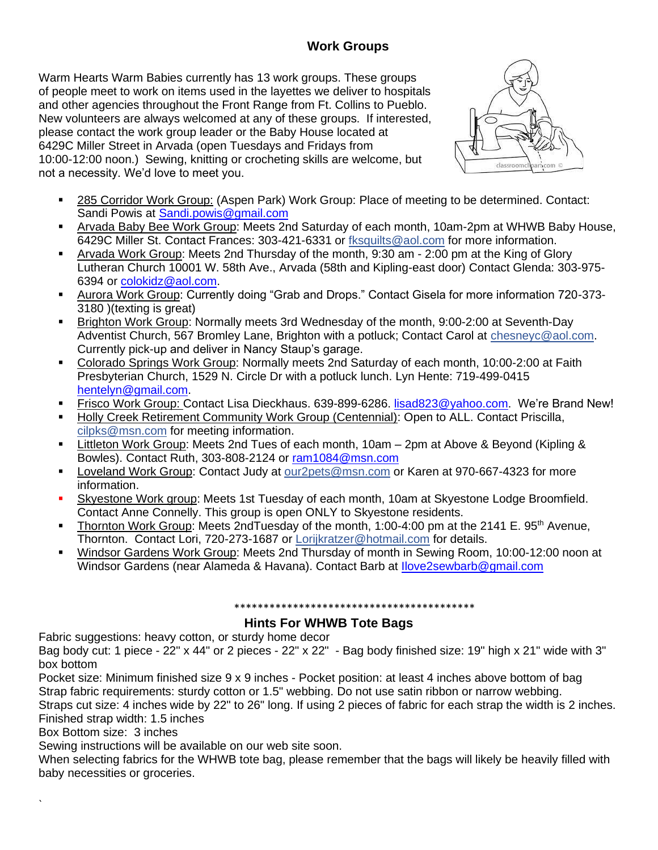### **Work Groups**

Warm Hearts Warm Babies currently has 13 work groups. These groups of people meet to work on items used in the layettes we deliver to hospitals and other agencies throughout the Front Range from Ft. Collins to Pueblo. New volunteers are always welcomed at any of these groups. If interested, please contact the work group leader or the Baby House located at 6429C Miller Street in Arvada (open Tuesdays and Fridays from 10:00-12:00 noon.) Sewing, knitting or crocheting skills are welcome, but not a necessity. We'd love to meet you.



- 285 Corridor Work Group: (Aspen Park) Work Group: Place of meeting to be determined. Contact: Sandi Powis at Sandi.powis@gmail.com
- Arvada Baby Bee Work Group: Meets 2nd Saturday of each month, 10am-2pm at WHWB Baby House, 6429C Miller St. Contact Frances: 303-421-6331 or fksquilts@aol.com for more information.
- Arvada Work Group: Meets 2nd Thursday of the month, 9:30 am 2:00 pm at the King of Glory Lutheran Church 10001 W. 58th Ave., Arvada (58th and Kipling-east door) Contact Glenda: 303-975- 6394 or colokidz@aol.com.
- Aurora Work Group: Currently doing "Grab and Drops." Contact Gisela for more information 720-373-3180 )(texting is great)
- Brighton Work Group: Normally meets 3rd Wednesday of the month, 9:00-2:00 at Seventh-Day Adventist Church, 567 Bromley Lane, Brighton with a potluck; Contact Carol at chesneyc@aol.com. Currently pick-up and deliver in Nancy Staup's garage.
- Colorado Springs Work Group: Normally meets 2nd Saturday of each month, 10:00-2:00 at Faith Presbyterian Church, 1529 N. Circle Dr with a potluck lunch. Lyn Hente: 719-499-0415 hentelyn@gmail.com.
- Frisco Work Group: Contact Lisa Dieckhaus. 639-899-6286. lisad823@yahoo.com. We're Brand New!
- Holly Creek Retirement Community Work Group (Centennial): Open to ALL. Contact Priscilla, cilpks@msn.com for meeting information.
- Littleton Work Group: Meets 2nd Tues of each month, 10am 2pm at Above & Beyond (Kipling & Bowles). Contact Ruth, 303-808-2124 or ram1084@msn.com
- Loveland Work Group: Contact Judy at our2pets@msn.com or Karen at 970-667-4323 for more information.
- Skyestone Work group: Meets 1st Tuesday of each month, 10am at Skyestone Lodge Broomfield. Contact Anne Connelly. This group is open ONLY to Skyestone residents.
- **Thornton Work Group: Meets 2ndTuesday of the month, 1:00-4:00 pm at the 2141 E. 95<sup>th</sup> Avenue,** Thornton. Contact Lori, 720-273-1687 or Lorijkratzer@hotmail.com for details.
- Windsor Gardens Work Group: Meets 2nd Thursday of month in Sewing Room, 10:00-12:00 noon at Windsor Gardens (near Alameda & Havana). Contact Barb at Ilove2sewbarb@gmail.com

\*\*\*\*\*\*\*\*\*\*\*\*\*\*\*\*\*\*\*\*\*\*\*\*\*\*\*\*\*\*\*\*\*\*\*\*\*\*\*\*\*

#### **Hints For WHWB Tote Bags**

Fabric suggestions: heavy cotton, or sturdy home decor

Bag body cut: 1 piece - 22" x 44" or 2 pieces - 22" x 22" - Bag body finished size: 19" high x 21" wide with 3" box bottom

Pocket size: Minimum finished size 9 x 9 inches - Pocket position: at least 4 inches above bottom of bag Strap fabric requirements: sturdy cotton or 1.5" webbing. Do not use satin ribbon or narrow webbing.

Straps cut size: 4 inches wide by 22" to 26" long. If using 2 pieces of fabric for each strap the width is 2 inches. Finished strap width: 1.5 inches

Box Bottom size: 3 inches

`

Sewing instructions will be available on our web site soon.

When selecting fabrics for the WHWB tote bag, please remember that the bags will likely be heavily filled with baby necessities or groceries.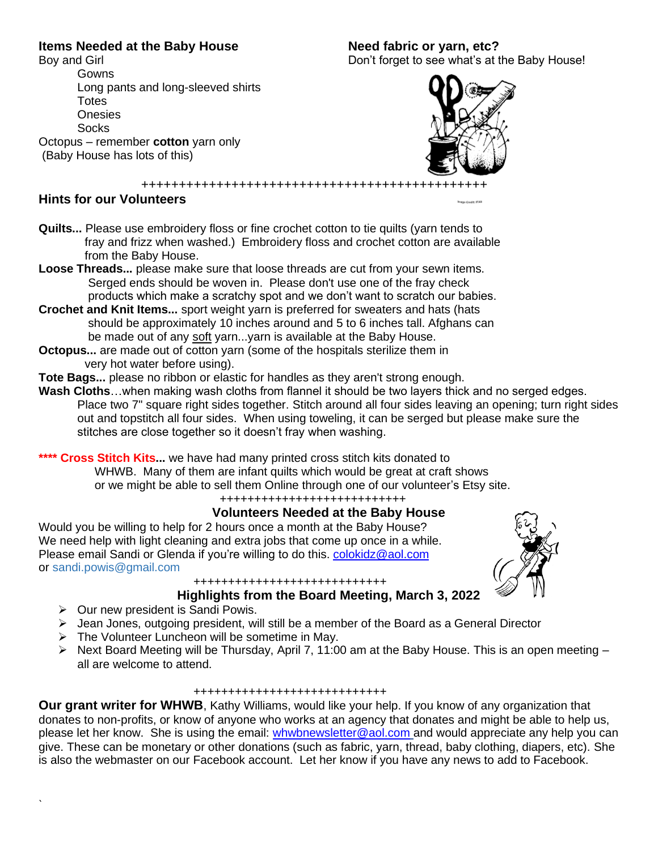#### **Items Needed at the Baby House <b>Need fabric or yarn, etc?**

#### Gowns Long pants and long-sleeved shirts **Totes Onesies Socks** Octopus – remember **cotton** yarn only

(Baby House has lots of this)

Boy and Girl **Boy and Girl Contract Contract Contract Contract Contract Contract Contract Contract Contract Contract Contract Contract Contract Contract Contract Contract Contract Contract Contract Contract Contract Contra** 



++++++++++++++++++++++++++++++++++++++++++++++

#### **Hints for our Volunteers**

- **Quilts...** Please use embroidery floss or fine crochet cotton to tie quilts (yarn tends to fray and frizz when washed.) Embroidery floss and crochet cotton are available from the Baby House.
- **Loose Threads...** please make sure that loose threads are cut from your sewn items. Serged ends should be woven in. Please don't use one of the fray check products which make a scratchy spot and we don't want to scratch our babies.
- **Crochet and Knit Items...** sport weight yarn is preferred for sweaters and hats (hats should be approximately 10 inches around and 5 to 6 inches tall. Afghans can be made out of any soft yarn...yarn is available at the Baby House.
- **Octopus...** are made out of cotton yarn (some of the hospitals sterilize them in very hot water before using).
- **Tote Bags...** please no ribbon or elastic for handles as they aren't strong enough.
- **Wash Cloths**…when making wash cloths from flannel it should be two layers thick and no serged edges. Place two 7" square right sides together. Stitch around all four sides leaving an opening; turn right sides out and topstitch all four sides. When using toweling, it can be serged but please make sure the stitches are close together so it doesn't fray when washing.

**\*\*\*\* Cross Stitch Kits...** we have had many printed cross stitch kits donated to

WHWB. Many of them are infant quilts which would be great at craft shows

or we might be able to sell them Online through one of our volunteer's Etsy site.

+++++++++++++++++++++++++++

### **Volunteers Needed at the Baby House**

Would you be willing to help for 2 hours once a month at the Baby House? We need help with light cleaning and extra jobs that come up once in a while. Please email Sandi or Glenda if you're willing to do this. colokidz@aol.com or sandi.powis@gmail.com



#### ++++++++++++++++++++++++++++ **Highlights from the Board Meeting, March 3, 2022**

➢ Our new president is Sandi Powis.

`

- $\triangleright$  Jean Jones, outgoing president, will still be a member of the Board as a General Director
- ➢ The Volunteer Luncheon will be sometime in May.
- $\triangleright$  Next Board Meeting will be Thursday, April 7, 11:00 am at the Baby House. This is an open meeting all are welcome to attend.

#### ++++++++++++++++++++++++++++

**Our grant writer for WHWB**, Kathy Williams, would like your help. If you know of any organization that donates to non-profits, or know of anyone who works at an agency that donates and might be able to help us, please let her know. She is using the email: whwbnewsletter@aol.com and would appreciate any help you can give. These can be monetary or other donations (such as fabric, yarn, thread, baby clothing, diapers, etc). She is also the webmaster on our Facebook account. Let her know if you have any news to add to Facebook.